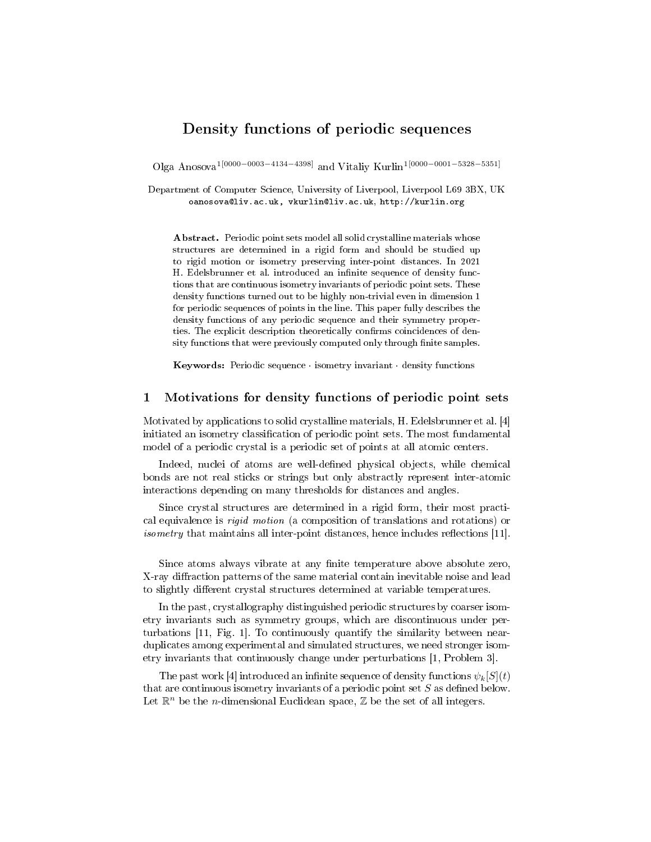# Density functions of periodic sequences

Olga Anosova1[0000−0003−4134−4398] and Vitaliy Kurlin1[0000−0001−5328−5351]

Department of Computer Science, University of Liverpool, Liverpool L69 3BX, UK oanosova@liv.ac.uk, vkurlin@liv.ac.uk, http://kurlin.org

Abstract. Periodic point sets model all solid crystalline materials whose structures are determined in a rigid form and should be studied up to rigid motion or isometry preserving inter-point distances. In 2021 H. Edelsbrunner et al. introduced an infinite sequence of density functions that are continuous isometry invariants of periodic point sets. These density functions turned out to be highly non-trivial even in dimension 1 for periodic sequences of points in the line. This paper fully describes the density functions of any periodic sequence and their symmetry properties. The explicit description theoretically confirms coincidences of density functions that were previously computed only through finite samples.

Keywords: Periodic sequence · isometry invariant · density functions

### 1 Motivations for density functions of periodic point sets

Motivated by applications to solid crystalline materials, H. Edelsbrunner et al. [4] initiated an isometry classification of periodic point sets. The most fundamental model of a periodic crystal is a periodic set of points at all atomic centers.

Indeed, nuclei of atoms are well-defined physical objects, while chemical bonds are not real sticks or strings but only abstractly represent inter-atomic interactions depending on many thresholds for distances and angles.

Since crystal structures are determined in a rigid form, their most practical equivalence is rigid motion (a composition of translations and rotations) or *isometry* that maintains all inter-point distances, hence includes reflections  $[11]$ .

Since atoms always vibrate at any finite temperature above absolute zero, X-ray diffraction patterns of the same material contain inevitable noise and lead to slightly different crystal structures determined at variable temperatures.

In the past, crystallography distinguished periodic structures by coarser isometry invariants such as symmetry groups, which are discontinuous under perturbations [11, Fig. 1]. To continuously quantify the similarity between nearduplicates among experimental and simulated structures, we need stronger isometry invariants that continuously change under perturbations [1, Problem 3].

The past work [4] introduced an infinite sequence of density functions  $\psi_k[S](t)$ that are continuous isometry invariants of a periodic point set  $S$  as defined below. Let  $\mathbb{R}^n$  be the *n*-dimensional Euclidean space,  $\mathbb Z$  be the set of all integers.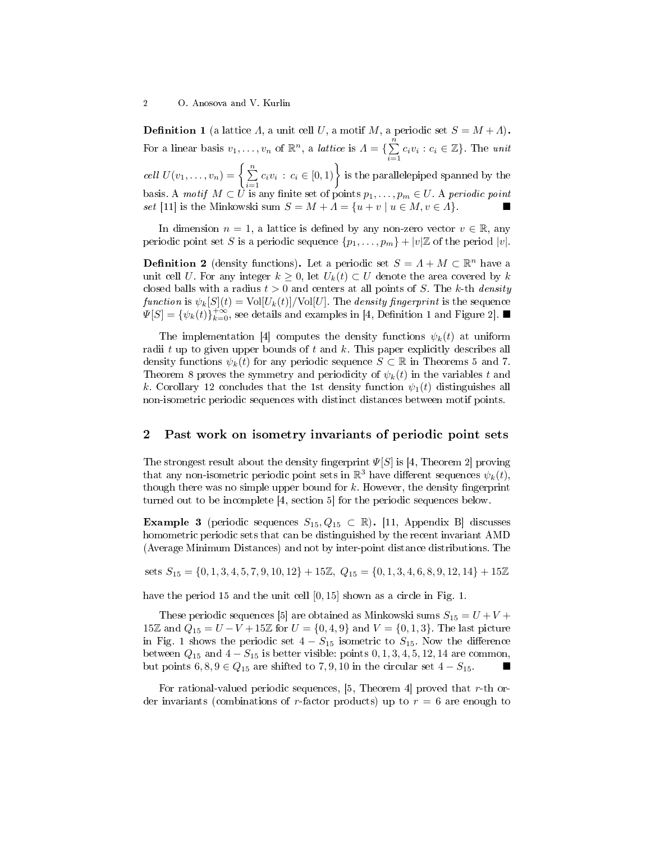**Definition 1** (a lattice  $\Lambda$ , a unit cell U, a motif M, a periodic set  $S = M + \Lambda$ ). For a linear basis  $v_1, \ldots, v_n$  of  $\mathbb{R}^n$ , a *lattice* is  $\Lambda = \{ \sum^n c_i v_i : c_i \in \mathbb{Z} \}$ . The unit cell  $U(v_1,\ldots,v_n) = \left\{\sum_{i=1}^n c_i v_i\,:\,c_i\in[0,1)\right\}$  is the parallelepiped spanned by the basis. A motif  $M \subset U$  is any finite set of points  $p_1, \ldots, p_m \in U$ . A periodic point set [11] is the Minkowski sum  $S = M + A = \{u + v \mid u \in M, v \in A\}.$ 

In dimension  $n = 1$ , a lattice is defined by any non-zero vector  $v \in \mathbb{R}$ , any periodic point set S is a periodic sequence  $\{p_1, \ldots, p_m\} + |v| \mathbb{Z}$  of the period  $|v|$ .

**Definition 2** (density functions). Let a periodic set  $S = \Lambda + M \subset \mathbb{R}^n$  have a unit cell U. For any integer  $k \geq 0$ , let  $U_k(t) \subset U$  denote the area covered by k closed balls with a radius  $t > 0$  and centers at all points of S. The k-th density function is  $\psi_k[S](t) = \text{Vol}[U_k(t)]/\text{Vol}[U]$ . The density fingerprint is the sequence  $\Psi[S] = {\psi_k(t)}_{k=0}^{+\infty}$ , see details and examples in [4, Definition 1 and Figure 2].

The implementation [4] computes the density functions  $\psi_k(t)$  at uniform radii  $t$  up to given upper bounds of  $t$  and  $k$ . This paper explicitly describes all density functions  $\psi_k(t)$  for any periodic sequence  $S \subset \mathbb{R}$  in Theorems 5 and 7. Theorem 8 proves the symmetry and periodicity of  $\psi_k(t)$  in the variables t and k. Corollary 12 concludes that the 1st density function  $\psi_1(t)$  distinguishes all non-isometric periodic sequences with distinct distances between motif points.

### 2 Past work on isometry invariants of periodic point sets

The strongest result about the density fingerprint  $\Psi[S]$  is [4, Theorem 2] proving that any non-isometric periodic point sets in  $\mathbb{R}^3$  have different sequences  $\psi_k(t)$ , though there was no simple upper bound for  $k$ . However, the density fingerprint turned out to be incomplete [4, section 5] for the periodic sequences below.

Example 3 (periodic sequences  $S_{15}, Q_{15} \subset \mathbb{R}$ ). [11, Appendix B] discusses homometric periodic sets that can be distinguished by the recent invariant AMD (Average Minimum Distances) and not by inter-point distance distributions. The

sets  $S_{15} = \{0, 1, 3, 4, 5, 7, 9, 10, 12\} + 15\mathbb{Z}, Q_{15} = \{0, 1, 3, 4, 6, 8, 9, 12, 14\} + 15\mathbb{Z}$ 

have the period 15 and the unit cell [0, 15] shown as a circle in Fig. 1.

These periodic sequences [5] are obtained as Minkowski sums  $S_{15} = U + V +$ 15ℤ and  $Q_{15} = U - V + 15Z$  for  $U = \{0, 4, 9\}$  and  $V = \{0, 1, 3\}$ . The last picture in Fig. 1 shows the periodic set  $4 - S_{15}$  isometric to  $S_{15}$ . Now the difference between  $Q_{15}$  and  $4 - S_{15}$  is better visible: points  $0, 1, 3, 4, 5, 12, 14$  are common, but points  $6, 8, 9 \in Q_{15}$  are shifted to 7, 9, 10 in the circular set  $4 - S_{15}$ .

For rational-valued periodic sequences,  $[5,$  Theorem 4] proved that r-th order invariants (combinations of r-factor products) up to  $r = 6$  are enough to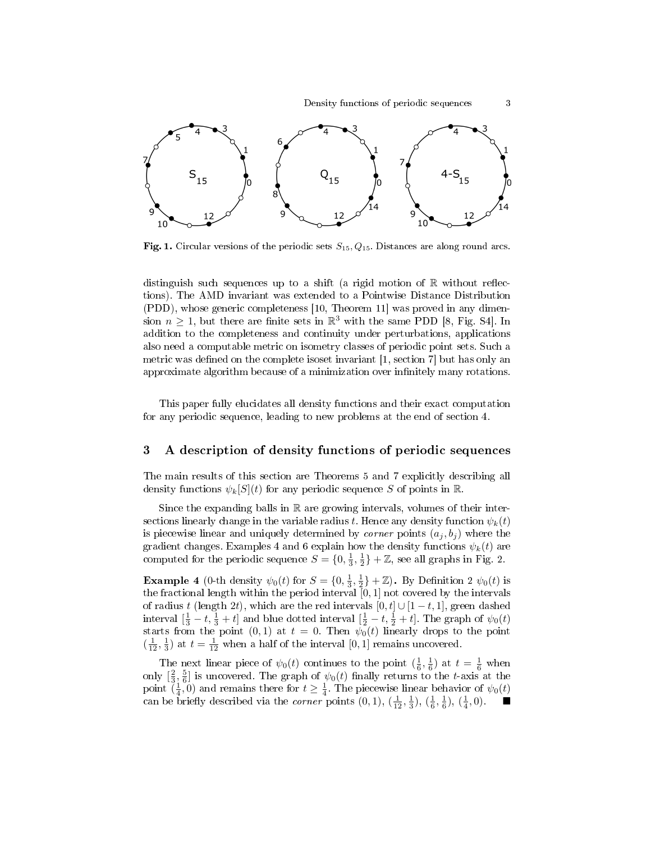

Fig. 1. Circular versions of the periodic sets  $S_{15}$ ,  $Q_{15}$ . Distances are along round arcs.

distinguish such sequences up to a shift (a rigid motion of  $\mathbb R$  without reflections). The AMD invariant was extended to a Pointwise Distance Distribution (PDD), whose generic completeness [10, Theorem 11] was proved in any dimension  $n \geq 1$ , but there are finite sets in  $\mathbb{R}^3$  with the same PDD [8, Fig. S4]. In addition to the completeness and continuity under perturbations, applications also need a computable metric on isometry classes of periodic point sets. Such a metric was defined on the complete isoset invariant  $[1, \text{ section 7}]$  but has only an approximate algorithm because of a minimization over infinitely many rotations.

This paper fully elucidates all density functions and their exact computation for any periodic sequence, leading to new problems at the end of section 4.

### 3 A description of density functions of periodic sequences

The main results of this section are Theorems 5 and 7 explicitly describing all density functions  $\psi_k[S](t)$  for any periodic sequence S of points in R.

Since the expanding balls in  $\mathbb R$  are growing intervals, volumes of their intersections linearly change in the variable radius t. Hence any density function  $\psi_k(t)$ is piecewise linear and uniquely determined by *corner* points  $(a_i, b_i)$  where the gradient changes. Examples 4 and 6 explain how the density functions  $\psi_k(t)$  are computed for the periodic sequence  $S = \{0, \frac{1}{3}, \frac{1}{2}\} + \mathbb{Z}$ , see all graphs in Fig. 2.

**Example 4** (0-th density  $\psi_0(t)$  for  $S = \{0, \frac{1}{3}, \frac{1}{2}\} + \mathbb{Z}$ ). By Definition 2  $\psi_0(t)$  is the fractional length within the period interval  $[0, 1]$  not covered by the intervals of radius t (length 2t), which are the red intervals  $[0, t] \cup [1-t, 1]$ , green dashed interval  $[\frac{1}{3} - t, \frac{1}{3} + t]$  and blue dotted interval  $[\frac{1}{2} - t, \frac{1}{2} + t]$ . The graph of  $\psi_0(t)$ starts from the point  $(0, 1)$  at  $t = 0$ . Then  $\psi_0(t)$  linearly drops to the point  $\left(\frac{1}{12}, \frac{1}{3}\right)$  at  $t = \frac{1}{12}$  when a half of the interval  $[0, 1]$  remains uncovered.

The next linear piece of  $\psi_0(t)$  continues to the point  $(\frac{1}{6}, \frac{1}{6})$  at  $t = \frac{1}{6}$  when only  $\left[\frac{2}{3},\frac{5}{6}\right]$  is uncovered. The graph of  $\psi_0(t)$  finally returns to the t-axis at the point  $(\frac{1}{4}, 0)$  and remains there for  $t \geq \frac{1}{4}$ . The piecewise linear behavior of  $\psi_0(t)$ can be briefly described via the *corner* points  $(0, 1)$ ,  $(\frac{1}{12}, \frac{1}{3})$ ,  $(\frac{1}{6}, \frac{1}{6})$ ,  $(\frac{1}{4}, 0)$ .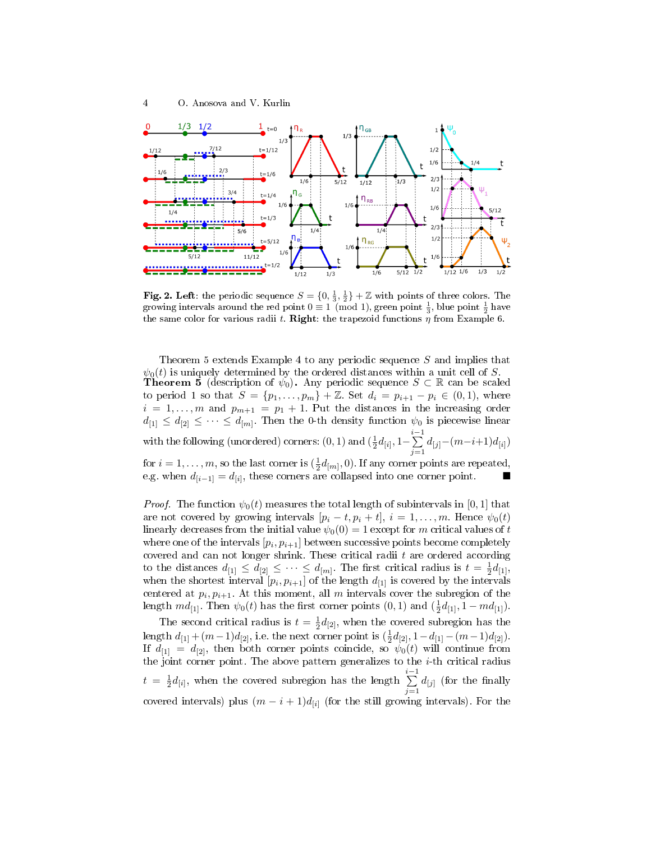

Fig. 2. Left: the periodic sequence  $S = \{0, \frac{1}{3}, \frac{1}{2}\} + \mathbb{Z}$  with points of three colors. The growing intervals around the red point  $0 \equiv 1 \pmod{1}$ , green point  $\frac{1}{3}$ , blue point  $\frac{1}{2}$  have the same color for various radii t. Right: the trapezoid functions  $\eta$  from Example 6.

Theorem 5 extends Example 4 to any periodic sequence S and implies that  $\psi_0(t)$  is uniquely determined by the ordered distances within a unit cell of S. **Theorem 5** (description of  $\psi_0$ ). Any periodic sequence  $S \subset \mathbb{R}$  can be scaled to period 1 so that  $S = \{p_1, ..., p_m\} + \mathbb{Z}$ . Set  $d_i = p_{i+1} - p_i \in (0, 1)$ , where  $i = 1, \ldots, m$  and  $p_{m+1} = p_1 + 1$ . Put the distances in the increasing order  $d_{[1]} \leq d_{[2]} \leq \cdots \leq d_{[m]}$ . Then the 0-th density function  $\psi_0$  is piecewise linear with the following (unordered) corners:  $(0,1)$  and  $(\frac{1}{2}d_{[i]},1-\sum\limits_{i=1}^{i-1}$  $\sum_{j=1} d_{[j]} - (m-i+1)d_{[i]})$ for  $i = 1, \ldots, m$ , so the last corner is  $(\frac{1}{2}d_{[m]}, 0)$ . If any corner points are repeated,

e.g. when  $d_{[i-1]} = d_{[i]}$ , these corners are collapsed into one corner point.  $\blacksquare$ 

*Proof.* The function  $\psi_0(t)$  measures the total length of subintervals in [0, 1] that are not covered by growing intervals  $[p_i - t, p_i + t]$ ,  $i = 1, ..., m$ . Hence  $\psi_0(t)$ linearly decreases from the initial value  $\psi_0(0) = 1$  except for m critical values of t where one of the intervals  $\left[p_i,p_{i+1}\right]$  between successive points become completely covered and can not longer shrink. These critical radii  $t$  are ordered according to the distances  $d_{[1]} \leq d_{[2]} \leq \cdots \leq d_{[m]}$ . The first critical radius is  $t = \frac{1}{2}d_{[1]}$ , when the shortest interval  $[p_i, p_{i+1}]$  of the length  $d_{[1]}$  is covered by the intervals centered at  $p_i, p_{i+1}$ . At this moment, all  $m$  intervals cover the subregion of the length  $md_{[1]}$ . Then  $\psi_0(t)$  has the first corner points  $(0,1)$  and  $(\frac{1}{2}d_{[1]}, 1 - md_{[1]})$ .

The second critical radius is  $t = \frac{1}{2}d_{[2]}$ , when the covered subregion has the length  $d_{[1]} + (m-1)d_{[2]}$ , i.e. the next corner point is  $(\frac{1}{2}d_{[2]}, 1-d_{[1]}-(m-1)d_{[2]})$ . If  $d_{[1]} = d_{[2]}$ , then both corner points coincide, so  $\psi_0(t)$  will continue from the joint corner point. The above pattern generalizes to the  $i$ -th critical radius  $t = \frac{1}{2}d_{[i]},$  when the covered subregion has the length  $\sum_{i=1}^{i-1}$  $\sum_{j=1} d_{[j]}$  (for the finally covered intervals) plus  $(m - i + 1)d_{[i]}$  (for the still growing intervals). For the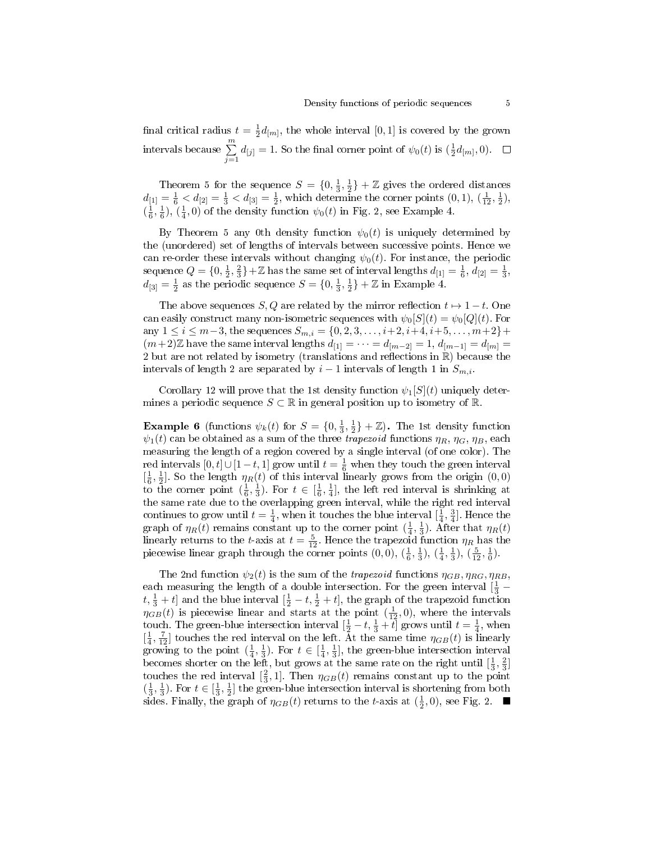final critical radius  $t = \frac{1}{2}d_{[m]},$  the whole interval  $[0,1]$  is covered by the grown intervals because  $\sum_{j=1}^{m} d_{[j]} = 1$ . So the final corner point of  $\psi_0(t)$  is  $(\frac{1}{2}d_{[m]},0)$ .

Theorem 5 for the sequence  $S = \{0, \frac{1}{3}, \frac{1}{2}\} + \mathbb{Z}$  gives the ordered distances  $d_{[1]} = \frac{1}{6} < d_{[2]} = \frac{1}{3} < d_{[3]} = \frac{1}{2}$ , which determine the corner points  $(0, 1)$ ,  $(\frac{1}{12}, \frac{1}{2})$ ,  $(\frac{1}{6}, \frac{1}{6})$ ,  $(\frac{1}{4}, 0)$  of the density function  $\psi_0(t)$  in Fig. 2, see Example 4.

By Theorem 5 any 0th density function  $\psi_0(t)$  is uniquely determined by the (unordered) set of lengths of intervals between successive points. Hence we can re-order these intervals without changing  $\psi_0(t)$ . For instance, the periodic sequence  $Q = \{0, \frac{1}{2}, \frac{2}{3}\} + \mathbb{Z}$  has the same set of interval lengths  $d_{[1]} = \frac{1}{6}, d_{[2]} = \frac{1}{3}$ ,  $d_{[3]} = \frac{1}{2}$  as the periodic sequence  $S = \{0, \frac{1}{3}, \frac{1}{2}\} + \mathbb{Z}$  in Example 4.

The above sequences  $S, Q$  are related by the mirror reflection  $t \mapsto 1-t$ . One can easily construct many non-isometric sequences with  $\psi_0[S](t) = \psi_0[Q](t)$ . For any  $1 \le i \le m-3$ , the sequences  $S_{m,i} = \{0, 2, 3, \ldots, i+2, i+4, i+5, \ldots, m+2\} +$  $(m+2)\mathbb{Z}$  have the same interval lengths  $d_{[1]} = \cdots = d_{[m-2]} = 1, d_{[m-1]} = d_{[m]} =$ 2 but are not related by isometry (translations and reflections in  $\mathbb R$ ) because the intervals of length 2 are separated by  $i-1$  intervals of length 1 in  $S_{m,i}$ .

Corollary 12 will prove that the 1st density function  $\psi_1[S](t)$  uniquely determines a periodic sequence  $S \subset \mathbb{R}$  in general position up to isometry of  $\mathbb{R}$ .

**Example 6** (functions  $\psi_k(t)$  for  $S = \{0, \frac{1}{3}, \frac{1}{2}\} + \mathbb{Z}$ ). The 1st density function  $\psi_1(t)$  can be obtained as a sum of the three trapezoid functions  $\eta_R$ ,  $\eta_G$ ,  $\eta_B$ , each measuring the length of a region covered by a single interval (of one color). The red intervals  $[0, t] \cup [1-t, 1]$  grow until  $t = \frac{1}{6}$  when they touch the green interval  $\left[\frac{1}{6},\frac{1}{2}\right]$ . So the length  $\eta_R(t)$  of this interval linearly grows from the origin  $(0,0)$ to the corner point  $(\frac{1}{6}, \frac{1}{3})$ . For  $t \in [\frac{1}{6}, \frac{1}{4}]$ , the left red interval is shrinking at the same rate due to the overlapping green interval, while the right red interval continues to grow until  $t = \frac{1}{4}$ , when it touches the blue interval  $[\frac{1}{4}, \frac{3}{4}]$ . Hence the graph of  $\eta_R(t)$  remains constant up to the corner point  $(\frac{1}{4}, \frac{1}{3})$ . After that  $\eta_R(t)$ linearly returns to the t-axis at  $t = \frac{5}{12}$ . Hence the trapezoid function  $\eta_R$  has the piecewise linear graph through the corner points  $(0,0)$ ,  $(\frac{1}{6},\frac{1}{3})$ ,  $(\frac{1}{4},\frac{1}{3})$ ,  $(\frac{5}{12},\frac{1}{0})$ .

The 2nd function  $\psi_2(t)$  is the sum of the *trapezoid* functions  $\eta_{GB}, \eta_{RG}, \eta_{RB}$ , each measuring the length of a double intersection. For the green interval  $\left[\frac{1}{3} - \frac{1}{3}\right]$  $t, \frac{1}{3} + t$  and the blue interval  $[\frac{1}{2} - t, \frac{1}{2} + t]$ , the graph of the trapezoid function  $\eta_{GB}(t)$  is piecewise linear and starts at the point  $(\frac{1}{12},0)$ , where the intervals touch. The green-blue intersection interval  $[\frac{1}{2} - t, \frac{1}{3} + t]$  grows until  $t = \frac{1}{4}$ , when  $\left[\frac{1}{4}, \frac{7}{12}\right]$  touches the red interval on the left. At the same time  $\eta_{GB}(t)$  is linearly growing to the point  $(\frac{1}{4}, \frac{1}{3})$ . For  $t \in [\frac{1}{4}, \frac{1}{3}]$ , the green-blue intersection interval becomes shorter on the left, but grows at the same rate on the right until  $\left[\frac{1}{3}, \frac{2}{3}\right]$ touches the red interval  $\left[\frac{2}{3},1\right]$ . Then  $\eta_{GB}(t)$  remains constant up to the point  $(\frac{1}{3}, \frac{1}{3})$ . For  $t \in [\frac{1}{3}, \frac{1}{2}]$  the green-blue intersection interval is shortening from both sides. Finally, the graph of  $\eta_{GB}(t)$  returns to the t-axis at  $(\frac{1}{2},0)$ , see Fig. 2.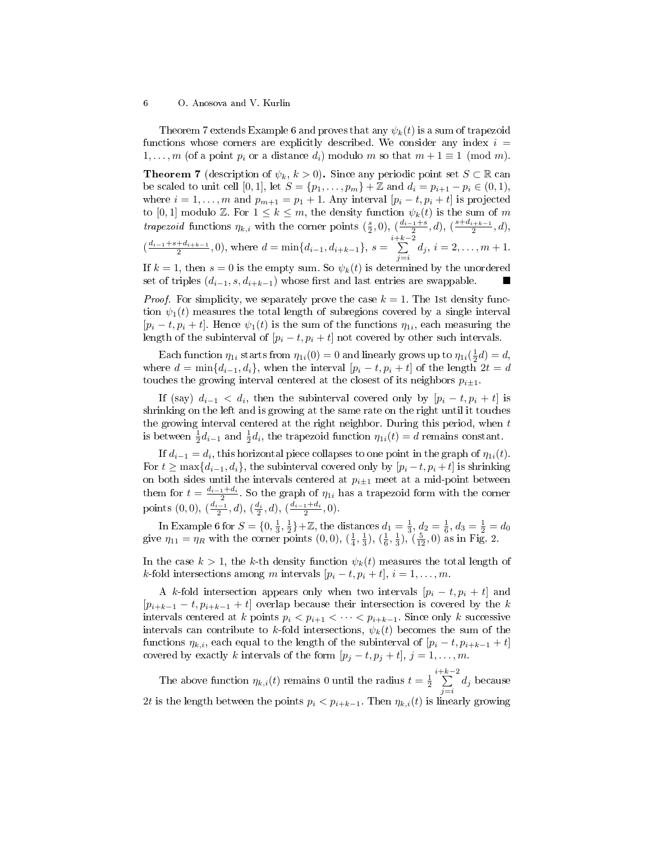Theorem 7 extends Example 6 and proves that any  $\psi_k(t)$  is a sum of trapezoid functions whose corners are explicitly described. We consider any index  $i =$  $1, \ldots, m$  (of a point  $p_i$  or a distance  $d_i$ ) modulo m so that  $m+1 \equiv 1 \pmod{m}$ .

**Theorem 7** (description of  $\psi_k$ ,  $k > 0$ ). Since any periodic point set  $S \subset \mathbb{R}$  can be scaled to unit cell [0, 1], let  $S = \{p_1, \ldots, p_m\} + \mathbb{Z}$  and  $d_i = p_{i+1} - p_i \in (0, 1)$ , where  $i = 1, \ldots, m$  and  $p_{m+1} = p_1 + 1$ . Any interval  $[p_i - t, p_i + t]$  is projected to [0, 1] modulo Z. For  $1 \leq k \leq m$ , the density function  $\psi_k(t)$  is the sum of m *trapezoid* functions  $\eta_{k,i}$  with the corner points  $(\frac{s}{2},0), (\frac{d_{i-1}+s}{2},d), (\frac{s+d_{i+k-1}}{2},d)$ ,  $\left(\frac{d_{i-1}+s+d_{i+k-1}}{2},0\right)$ , where  $d=\min\{d_{i-1},d_{i+k-1}\}, s=\sum_{i=1}^{i+k-2}$  $\sum_{j=i} d_j, i = 2, \ldots, m+1.$ If  $k = 1$ , then  $s = 0$  is the empty sum. So  $\psi_k(t)$  is determined by the unordered

set of triples  $(d_{i-1}, s, d_{i+k-1})$  whose first and last entries are swappable. ■

*Proof.* For simplicity, we separately prove the case  $k = 1$ . The 1st density function  $\psi_1(t)$  measures the total length of subregions covered by a single interval  $[p_i - t, p_i + t]$ . Hence  $\psi_1(t)$  is the sum of the functions  $\eta_{1i}$ , each measuring the length of the subinterval of  $[p_i - t, p_i + t]$  not covered by other such intervals.

Each function  $\eta_{1i}$  starts from  $\eta_{1i}(0) = 0$  and linearly grows up to  $\eta_{1i}(\frac{1}{2}d) = d$ , where  $d = \min\{d_{i-1}, d_i\}$ , when the interval  $[p_i - t, p_i + t]$  of the length  $2t = d$ touches the growing interval centered at the closest of its neighbors  $p_{i+1}$ .

If (say)  $d_{i-1} < d_i$ , then the subinterval covered only by  $[p_i - t, p_i + t]$  is shrinking on the left and is growing at the same rate on the right until it touches the growing interval centered at the right neighbor. During this period, when  $t$ is between  $\frac{1}{2}d_{i-1}$  and  $\frac{1}{2}d_i$ , the trapezoid function  $\eta_{1i}(t) = d$  remains constant.

If  $d_{i-1} = d_i$ , this horizontal piece collapses to one point in the graph of  $\eta_{1i}(t)$ . For  $t \geq \max\{d_{i-1}, d_i\}$ , the subinterval covered only by  $[p_i - t, p_i + t]$  is shrinking on both sides until the intervals centered at  $p_{i\pm 1}$  meet at a mid-point between them for  $t = \frac{d_{i-1}+d_i}{2}$ . So the graph of  $\eta_{1i}$  has a trapezoid form with the corner points  $(0,0)$ ,  $\left(\frac{d_{i-1}}{2},d\right)$ ,  $\left(\frac{d_i}{2},d\right)$ ,  $\left(\frac{d_{i-1}+d_i}{2},0\right)$ .

In Example 6 for  $S = \{0, \frac{1}{3}, \frac{1}{2}\} + \mathbb{Z}$ , the distances  $d_1 = \frac{1}{3}$ ,  $d_2 = \frac{1}{6}$ ,  $d_3 = \frac{1}{2} = d_0$ give  $\eta_{11} = \eta_R$  with the corner points  $(0,0)$ ,  $(\frac{1}{4},\frac{1}{3})$ ,  $(\frac{1}{6},\frac{1}{3})$ ,  $(\frac{5}{12},0)$  as in Fig. 2.

In the case  $k > 1$ , the k-th density function  $\psi_k(t)$  measures the total length of k-fold intersections among m intervals  $[p_i - t, p_i + t], i = 1, \ldots, m$ .

A k-fold intersection appears only when two intervals  $[p_i - t, p_i + t]$  and  $[p_{i+k-1} - t, p_{i+k-1} + t]$  overlap because their intersection is covered by the k intervals centered at k points  $p_i < p_{i+1} < \cdots < p_{i+k-1}$ . Since only k successive intervals can contribute to k-fold intersections,  $\psi_k(t)$  becomes the sum of the functions  $\eta_{k,i}$ , each equal to the length of the subinterval of  $[p_i - t, p_{i+k-1} + t]$ covered by exactly k intervals of the form  $[p_j - t, p_j + t]$ ,  $j = 1, ..., m$ .

The above function  $\eta_{k,i}(t)$  remains 0 until the radius  $t = \frac{1}{2}$  $\sum_{k=1}^{i+k-2}$  $\sum_{j=i}$  d<sub>j</sub> because 2t is the length between the points  $p_i < p_{i+k-1}$ . Then  $\eta_{k,i}(t)$  is linearly growing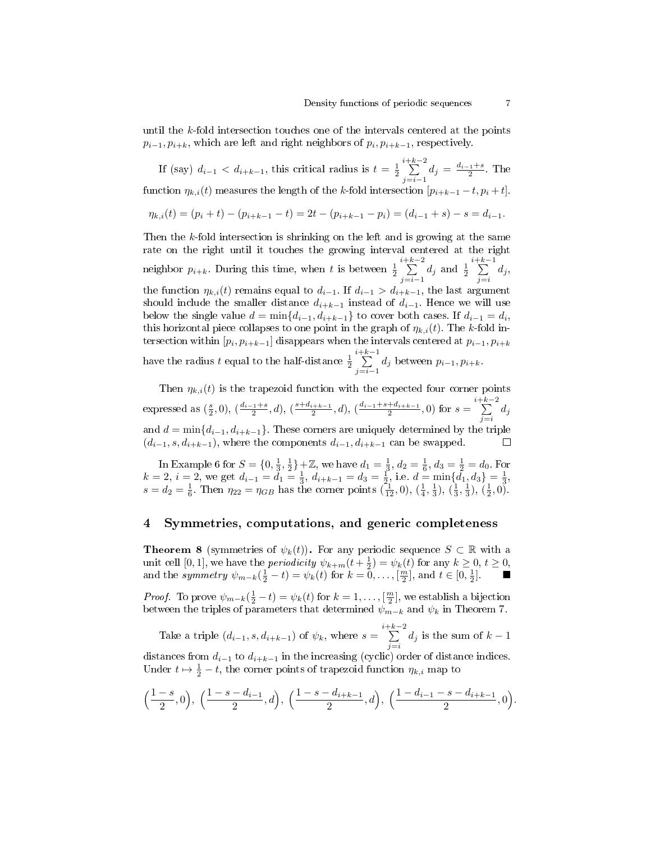until the k-fold intersection touches one of the intervals centered at the points  $p_{i-1}, p_{i+k}$ , which are left and right neighbors of  $p_i, p_{i+k-1}$ , respectively.

If (say)  $d_{i-1} < d_{i+k-1}$ , this critical radius is  $t = \frac{1}{2}$  $\sum_{k=1}^{i+k-2}$  $\sum_{j=i-1}^{i=n} d_j = \frac{d_{i-1}+s}{2}$ . The function  $\eta_{k,i}(t)$  measures the length of the k-fold intersection  $[p_{i+k-1}-t, p_i+t]$ .

$$
\eta_{k,i}(t) = (p_i + t) - (p_{i+k-1} - t) = 2t - (p_{i+k-1} - p_i) = (d_{i-1} + s) - s = d_{i-1}.
$$

Then the k-fold intersection is shrinking on the left and is growing at the same rate on the right until it touches the growing interval centered at the right neighbor  $p_{i+k}$ . During this time, when t is between  $\frac{1}{2}$  $\sum_{k=1}^{i+k-2}$  $\sum_{j=i-1} d_j$  and  $\frac{1}{2}$  $\sum_{k=1}^{i+k-1}$  $\sum_{j=i} d_j,$ the function  $\eta_{k,i}(t)$  remains equal to  $d_{i-1}$ . If  $d_{i-1} > d_{i+k-1}$ , the last argument should include the smaller distance  $d_{i+k-1}$  instead of  $d_{i-1}$ . Hence we will use below the single value  $d = \min\{d_{i-1}, d_{i+k-1}\}$  to cover both cases. If  $d_{i-1} = d_i$ , this horizontal piece collapses to one point in the graph of  $\eta_{k,i}(t)$ . The k-fold intersection within  $\left[p_{i},p_{i+k-1}\right]$  disappears when the intervals centered at  $p_{i-1},p_{i+k}$ have the radius  $t$  equal to the half-distance  $\frac{1}{2}$  $\sum_{k=1}^{i+k-1}$  $\sum_{j=i-1} d_j$  between  $p_{i-1}, p_{i+k}$ .

Then  $\eta_{k,i}(t)$  is the trapezoid function with the expected four corner points expressed as  $(\frac{s}{2}, 0)$ ,  $(\frac{d_{i-1}+s}{2}, d)$ ,  $(\frac{s+d_{i+k-1}}{2}, d)$ ,  $(\frac{d_{i-1}+s+d_{i+k-1}}{2}, 0)$  for  $s = \sum_{i=1}^{i+k-2}$  $\sum_{j=i} d_j$ and  $d = \min\{d_{i-1}, d_{i+k-1}\}.$  These corners are uniquely determined by the triple  $(d_{i-1}, s, d_{i+k-1})$ , where the components  $d_{i-1}, d_{i+k-1}$  can be swapped. П

In Example 6 for  $S = \{0, \frac{1}{3}, \frac{1}{2}\} + \mathbb{Z}$ , we have  $d_1 = \frac{1}{3}$ ,  $d_2 = \frac{1}{6}$ ,  $d_3 = \frac{1}{2} = d_0$ . For  $k = 2, i = 2$ , we get  $d_{i-1} = \tilde{d}_1 = \frac{1}{3}, d_{i+k-1} = d_3 = \frac{1}{2}$ , i.e.  $d = \min\{\tilde{d}_1, d_3\} = \frac{1}{3}$ ,  $s = d_2 = \frac{1}{6}$ . Then  $\eta_{22} = \eta_{GB}$  has the corner points  $(\frac{1}{12}, 0), (\frac{1}{4}, \frac{1}{3}), (\frac{1}{3}, \frac{1}{3}), (\frac{1}{2}, 0)$ .

## 4 Symmetries, computations, and generic completeness

**Theorem 8** (symmetries of  $\psi_k(t)$ ). For any periodic sequence  $S \subset \mathbb{R}$  with a unit cell [0, 1], we have the *periodicity*  $\psi_{k+m}(t+\frac{1}{2}) = \psi_k(t)$  for any  $k \geq 0, t \geq 0$ , and the symmetry  $\psi_{m-k}(\frac{1}{2}-t) = \psi_k(t)$  for  $k = 0, \ldots, \lceil \frac{m}{2} \rceil$ , and  $t \in [0, \frac{1}{2}]$ ].

*Proof.* To prove  $\psi_{m-k}(\frac{1}{2}-t) = \psi_k(t)$  for  $k = 1, \ldots, \lceil \frac{m}{2} \rceil$ , we establish a bijection between the triples of parameters that determined  $\psi_{m-k}$  and  $\psi_k$  in Theorem 7.

Take a triple  $(d_{i-1}, s, d_{i+k-1})$  of  $\psi_k$ , where  $s = \sum_{k=1}^{i+k-2}$  $\sum_{j=i}$  d<sub>j</sub> is the sum of  $k-1$ 

distances from  $d_{i-1}$  to  $d_{i+k-1}$  in the increasing (cyclic) order of distance indices. Under  $t \mapsto \frac{1}{2} - t$ , the corner points of trapezoid function  $\eta_{k,i}$  map to

$$
\left(\frac{1-s}{2},0\right),\ \left(\frac{1-s-d_{i-1}}{2},d\right),\ \left(\frac{1-s-d_{i+k-1}}{2},d\right),\ \left(\frac{1-d_{i-1}-s-d_{i+k-1}}{2},0\right).
$$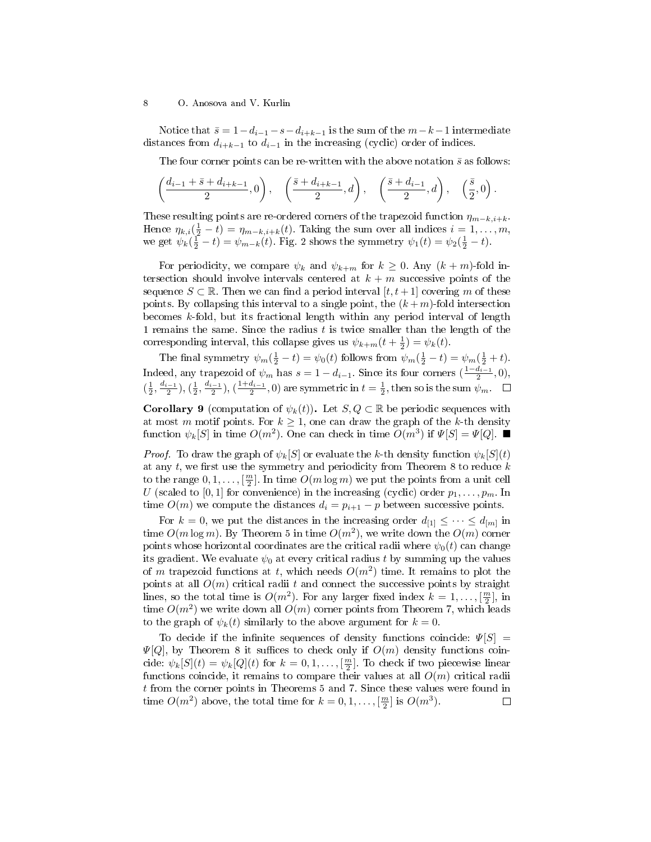Notice that  $\bar{s} = 1 - d_{i-1} - s - d_{i+k-1}$  is the sum of the  $m-k-1$  intermediate distances from  $d_{i+k-1}$  to  $d_{i-1}$  in the increasing (cyclic) order of indices.

The four corner points can be re-written with the above notation  $\bar{s}$  as follows:

$$
\left(\frac{d_{i-1}+\bar{s}+d_{i+k-1}}{2},0\right), \quad \left(\frac{\bar{s}+d_{i+k-1}}{2},d\right), \quad \left(\frac{\bar{s}+d_{i-1}}{2},d\right), \quad \left(\frac{\bar{s}}{2},0\right).
$$

These resulting points are re-ordered corners of the trapezoid function  $\eta_{m-k,i+k}$ . Hence  $\eta_{k,i}(\frac{1}{2}-t) = \eta_{m-k,i+k}(t)$ . Taking the sum over all indices  $i = 1, \ldots, m$ , we get  $\psi_k(\frac{1}{2} - t) = \psi_{m-k}(t)$ . Fig. 2 shows the symmetry  $\psi_1(t) = \psi_2(\frac{1}{2} - t)$ .

For periodicity, we compare  $\psi_k$  and  $\psi_{k+m}$  for  $k \geq 0$ . Any  $(k+m)$ -fold intersection should involve intervals centered at  $k + m$  successive points of the sequence  $S \subset \mathbb{R}$ . Then we can find a period interval  $[t, t+1]$  covering m of these points. By collapsing this interval to a single point, the  $(k+m)$ -fold intersection becomes k-fold, but its fractional length within any period interval of length 1 remains the same. Since the radius  $t$  is twice smaller than the length of the corresponding interval, this collapse gives us  $\psi_{k+m}(t+\frac{1}{2}) = \psi_k(t)$ .

The final symmetry  $\psi_m(\frac{1}{2} - t) = \psi_0(t)$  follows from  $\psi_m(\frac{1}{2} - t) = \psi_m(\frac{1}{2} + t)$ . Indeed, any trapezoid of  $\psi_m$  has  $s = 1 - d_{i-1}$ . Since its four corners  $(\frac{1 - d_{i-1}}{2}, 0)$ ,  $(\frac{1}{2}, \frac{d_{i-1}}{2}), (\frac{1}{2}, \frac{d_{i-1}}{2}), (\frac{1+d_{i-1}}{2}, 0)$  are symmetric in  $t = \frac{1}{2}$ , then so is the sum  $\psi_m$ .

**Corollary 9** (computation of  $\psi_k(t)$ ). Let  $S, Q \subset \mathbb{R}$  be periodic sequences with at most m motif points. For  $k \geq 1$ , one can draw the graph of the k-th density function  $\psi_k[S]$  in time  $O(m^2)$ . One can check in time  $O(m^3)$  if  $\Psi[S] = \Psi[Q]$ .

*Proof.* To draw the graph of  $\psi_k[S]$  or evaluate the k-th density function  $\psi_k[S](t)$ at any  $t$ , we first use the symmetry and periodicity from Theorem 8 to reduce  $k$ to the range  $0, 1, \ldots, [\frac{m}{2}]$ . In time  $O(m \log m)$  we put the points from a unit cell U (scaled to [0, 1] for convenience) in the increasing (cyclic) order  $p_1, \ldots, p_m$ . In time  $O(m)$  we compute the distances  $d_i = p_{i+1} - p$  between successive points.

For  $k=0,$  we put the distances in the increasing order  $d_{[1]} \leq \cdots \leq d_{[m]}$  in time  $O(m\log m)$ . By Theorem 5 in time  $O(m^2)$ , we write down the  $O(m)$  corner points whose horizontal coordinates are the critical radii where  $\psi_0(t)$  can change its gradient. We evaluate  $\psi_0$  at every critical radius t by summing up the values of m trapezoid functions at t, which needs  $O(m^2)$  time. It remains to plot the points at all  $O(m)$  critical radii t and connect the successive points by straight lines, so the total time is  $O(m^2)$ . For any larger fixed index  $k = 1, \ldots, \lceil \frac{m}{2} \rceil$ , in time  $O(m^2)$  we write down all  $O(m)$  corner points from Theorem 7, which leads to the graph of  $\psi_k(t)$  similarly to the above argument for  $k=0$ .

To decide if the infinite sequences of density functions coincide:  $\Psi[S] =$  $\Psi[Q]$ , by Theorem 8 it suffices to check only if  $O(m)$  density functions coincide:  $\psi_k[S](t) = \psi_k[Q](t)$  for  $k = 0, 1, ..., \lfloor \frac{m}{2} \rfloor$ . To check if two piecewise linear functions coincide, it remains to compare their values at all  $O(m)$  critical radii t from the corner points in Theorems 5 and 7. Since these values were found in time  $O(m^2)$  above, the total time for  $k = 0, 1, ..., \lfloor \frac{m}{2} \rfloor$  is  $O(m^3)$ .  $\Box$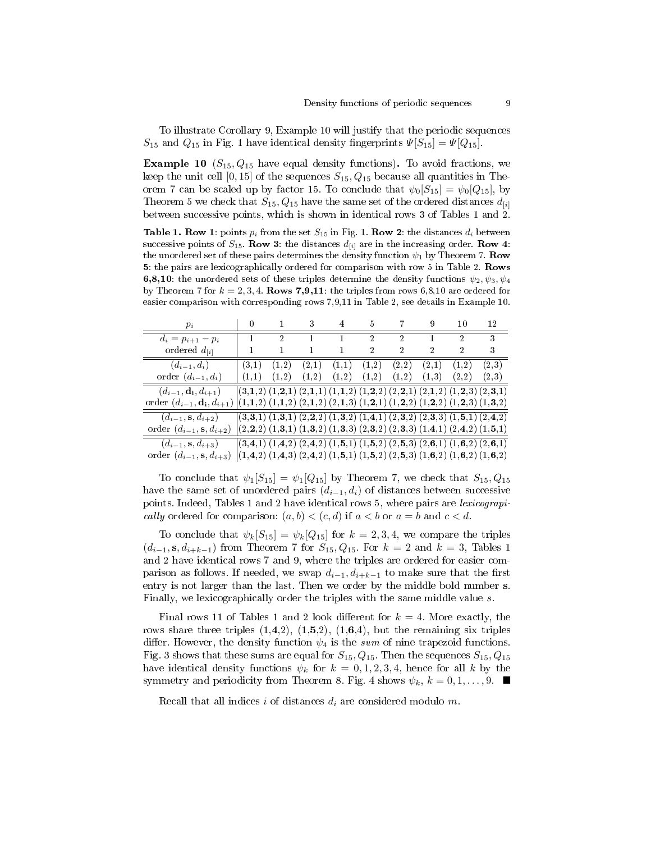To illustrate Corollary 9, Example 10 will justify that the periodic sequences  $S_{15}$  and  $Q_{15}$  in Fig. 1 have identical density fingerprints  $\Psi[S_{15}] = \Psi[Q_{15}]$ .

**Example 10** ( $S_{15}$ ,  $Q_{15}$  have equal density functions). To avoid fractions, we keep the unit cell [0, 15] of the sequences  $S_{15}$ ,  $Q_{15}$  because all quantities in Theorem 7 can be scaled up by factor 15. To conclude that  $\psi_0[S_{15}] = \psi_0[Q_{15}]$ , by Theorem 5 we check that  $S_{15}$ ,  $Q_{15}$  have the same set of the ordered distances  $d_{[i]}$ between successive points, which is shown in identical rows 3 of Tables 1 and 2.

**Table 1. Row 1:** points  $p_i$  from the set  $S_{15}$  in Fig. 1. **Row 2:** the distances  $d_i$  between successive points of  $S_{15}$ . Row 3: the distances  $d_{[i]}$  are in the increasing order. Row 4: the unordered set of these pairs determines the density function  $\psi_1$  by Theorem 7. Row 5: the pairs are lexicographically ordered for comparison with row 5 in Table 2. Rows 6,8,10: the unordered sets of these triples determine the density functions  $\psi_2, \psi_3, \psi_4$ by Theorem 7 for  $k = 2, 3, 4$ . Rows 7,9,11: the triples from rows 6,8,10 are ordered for easier comparison with corresponding rows 7,9,11 in Table 2, see details in Example 10.

| $p_i$                                                                                                                                       |                                                                                           |                | $0 \qquad 1 \qquad 3 \qquad 4 \qquad 5 \qquad 7 \qquad 9$                                 |                |                 |                |                | 10             | -12           |
|---------------------------------------------------------------------------------------------------------------------------------------------|-------------------------------------------------------------------------------------------|----------------|-------------------------------------------------------------------------------------------|----------------|-----------------|----------------|----------------|----------------|---------------|
| $d_i = p_{i+1} - p_i$                                                                                                                       | $\mathbf{1}$                                                                              | $\mathfrak{D}$ | $\overline{1}$                                                                            | $\overline{1}$ | $2^{\circ}$     | $\mathfrak{D}$ | $\mathbf{1}$   | 2              | $\mathcal{R}$ |
| ordered $d_{[i]}$                                                                                                                           |                                                                                           | $\mathbf{1}$   | $\mathbf{1}$                                                                              | $\mathbf{1}$   | $\overline{2}$  | $\mathfrak{D}$ | $\mathfrak{D}$ | $\overline{2}$ | 3             |
| $(d_{i-1},d_i)$                                                                                                                             | (3,1)                                                                                     | (1,2)          | (2,1)                                                                                     | (1,1)          | (1,2)           | (2,2)          | (2,1)          | (1,2)          | (2,3)         |
| order $(d_{i-1}, d_i)$                                                                                                                      | (1,1)                                                                                     | (1,2)          | (1,2)                                                                                     |                | $(1,2)$ $(1,2)$ | (1,2)          | (1,3)          | (2, 2)         | (2, 3)        |
| $(d_{i-1}, \mathbf{d_i}, d_{i+1})$                                                                                                          |                                                                                           |                | $(3,1,2)$ $(1,2,1)$ $(2,1,1)$ $(1,1,2)$ $(1,2,2)$ $(2,2,1)$ $(2,1,2)$ $(1,2,3)$ $(2,3,1)$ |                |                 |                |                |                |               |
| order $(d_{i-1}, d_i, d_{i+1})$ $(1, 1, 2)$ $(1, 1, 2)$ $(2, 1, 2)$ $(2, 1, 3)$ $(1, 2, 1)$ $(1, 2, 2)$ $(1, 2, 2)$ $(1, 2, 3)$ $(1, 3, 2)$ |                                                                                           |                |                                                                                           |                |                 |                |                |                |               |
| $(d_{i-1}, s, d_{i+2})$                                                                                                                     |                                                                                           |                | $(3,3,1)$ $(1,3,1)$ $(2,2,2)$ $(1,3,2)$ $(1,4,1)$ $(2,3,2)$ $(2,3,3)$ $(1,5,1)$ $(2,4,2)$ |                |                 |                |                |                |               |
| order $(d_{i-1}, s, d_{i+2})$                                                                                                               |                                                                                           |                | $(2,2,2)$ $(1,3,1)$ $(1,3,2)$ $(1,3,3)$ $(2,3,2)$ $(2,3,3)$ $(1,4,1)$ $(2,4,2)$ $(1,5,1)$ |                |                 |                |                |                |               |
| $(d_{i-1}, s, d_{i+3})$                                                                                                                     |                                                                                           |                | $(3,4,1)$ $(1,4,2)$ $(2,4,2)$ $(1,5,1)$ $(1,5,2)$ $(2,5,3)$ $(2,6,1)$ $(1,6,2)$ $(2,6,1)$ |                |                 |                |                |                |               |
| order $(d_{i-1}, s, d_{i+3})$                                                                                                               | $(1,4,2)$ $(1,4,3)$ $(2,4,2)$ $(1,5,1)$ $(1,5,2)$ $(2,5,3)$ $(1,6,2)$ $(1,6,2)$ $(1,6,2)$ |                |                                                                                           |                |                 |                |                |                |               |

To conclude that  $\psi_1[S_{15}] = \psi_1[Q_{15}]$  by Theorem 7, we check that  $S_{15}, Q_{15}$ have the same set of unordered pairs  $(d_{i-1}, d_i)$  of distances between successive points. Indeed, Tables 1 and 2 have identical rows 5, where pairs are lexicograpically ordered for comparison:  $(a, b) < (c, d)$  if  $a < b$  or  $a = b$  and  $c < d$ .

To conclude that  $\psi_k[S_{15}] = \psi_k[Q_{15}]$  for  $k = 2, 3, 4$ , we compare the triples  $(d_{i-1}, s, d_{i+k-1})$  from Theorem 7 for  $S_{15}, Q_{15}$ . For  $k = 2$  and  $k = 3$ , Tables 1 and 2 have identical rows 7 and 9, where the triples are ordered for easier comparison as follows. If needed, we swap  $d_{i-1}, d_{i+k-1}$  to make sure that the first entry is not larger than the last. Then we order by the middle bold number s. Finally, we lexicographically order the triples with the same middle value s.

Final rows 11 of Tables 1 and 2 look different for  $k = 4$ . More exactly, the rows share three triples  $(1,4,2)$ ,  $(1,5,2)$ ,  $(1,6,4)$ , but the remaining six triples differ. However, the density function  $\psi_4$  is the sum of nine trapezoid functions. Fig. 3 shows that these sums are equal for  $S_{15}$ ,  $Q_{15}$ . Then the sequences  $S_{15}$ ,  $Q_{15}$ have identical density functions  $\psi_k$  for  $k = 0, 1, 2, 3, 4$ , hence for all k by the symmetry and periodicity from Theorem 8. Fig. 4 shows  $\psi_k, k = 0, 1, \ldots, 9$ .

Recall that all indices i of distances  $d_i$  are considered modulo m.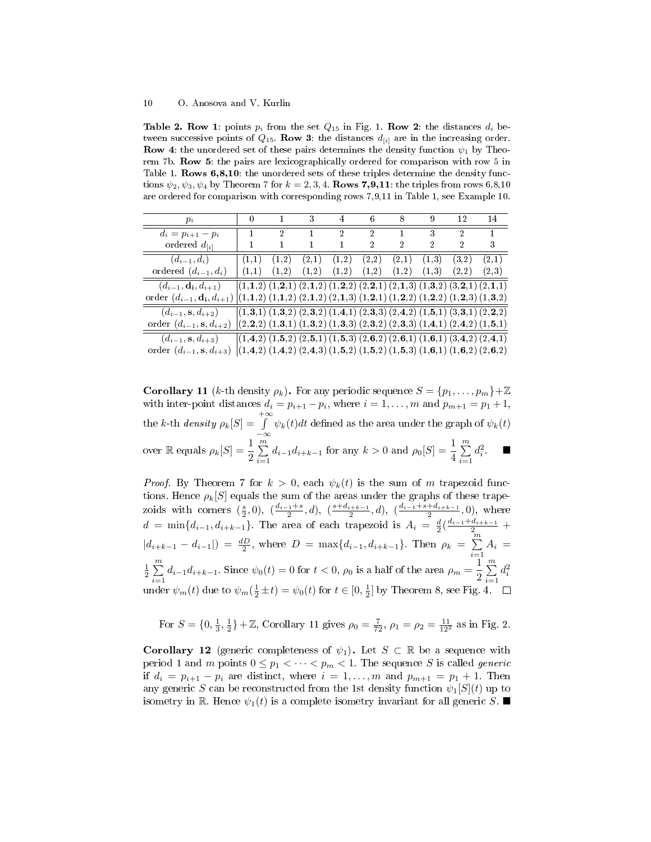Table 2. Row 1: points  $p_i$  from the set  $Q_{15}$  in Fig. 1. Row 2: the distances  $d_i$  between successive points of  $Q_{15}$ . Row 3: the distances  $d_{[i]}$  are in the increasing order. **Row 4:** the unordered set of these pairs determines the density function  $\psi_1$  by Theorem 7b. Row 5: the pairs are lexicographically ordered for comparison with row 5 in Table 1. Rows 6,8,10: the unordered sets of these triples determine the density functions  $\psi_2, \psi_3, \psi_4$  by Theorem 7 for  $k = 2, 3, 4$ . Rows 7,9,11: the triples from rows 6,8,10 are ordered for comparison with corresponding rows 7,9,11 in Table 1, see Example 10.

| $p_i$                              | 0                                                                                         | $\sim$ 1       | $3-$         |                | $4 \t 6 \t 8$           |       | - 9            | 12             | 14                                                                                        |
|------------------------------------|-------------------------------------------------------------------------------------------|----------------|--------------|----------------|-------------------------|-------|----------------|----------------|-------------------------------------------------------------------------------------------|
| $d_i = p_{i+1} - p_i$              | 1                                                                                         | $\mathfrak{D}$ | $\mathbf{1}$ | $\mathfrak{D}$ | $\mathcal{D}$           | 1     | 3              | $\mathfrak{D}$ | 1                                                                                         |
| ordered $d_{[i]}$                  |                                                                                           | $\mathbf{1}$   | 1            |                | 2                       | 2     | $\overline{2}$ | $\overline{2}$ | 3                                                                                         |
| $(d_{i-1},d_i)$                    | (1,1)                                                                                     | (1,2)          | (2,1)        | (1,2)          | (2,2)                   | (2,1) | (1,3)          | (3,2)          | (2,1)                                                                                     |
| ordered $(d_{i-1}, d_i)$           | (1,1)                                                                                     | (1,2)          |              |                | $(1,2)$ $(1,2)$ $(1,2)$ | (1,2) | (1,3)          | (2,2)          | (2,3)                                                                                     |
| $(d_{i-1}, \mathbf{d_i}, d_{i+1})$ |                                                                                           |                |              |                |                         |       |                |                | $(1,1,2)$ $(1,2,1)$ $(2,1,2)$ $(1,2,2)$ $(2,2,1)$ $(2,1,3)$ $(1,3,2)$ $(3,2,1)$ $(2,1,1)$ |
| order $(d_{i-1}, d_i, d_{i+1})$    | $(1,1,2)$ $(1,1,2)$ $(2,1,2)$ $(2,1,3)$ $(1,2,1)$ $(1,2,2)$ $(1,2,2)$ $(1,2,3)$ $(1,3,2)$ |                |              |                |                         |       |                |                |                                                                                           |
| $(d_{i-1}, s, d_{i+2})$            |                                                                                           |                |              |                |                         |       |                |                | $(1,3,1)$ $(1,3,2)$ $(2,3,2)$ $(1,4,1)$ $(2,3,3)$ $(2,4,2)$ $(1,5,1)$ $(3,3,1)$ $(2,2,2)$ |
| order $(d_{i-1}, s, d_{i+2})$      |                                                                                           |                |              |                |                         |       |                |                | $(2,2,2)$ $(1,3,1)$ $(1,3,2)$ $(1,3,3)$ $(2,3,2)$ $(2,3,3)$ $(1,4,1)$ $(2,4,2)$ $(1,5,1)$ |
| $(d_{i-1}, s, d_{i+3})$            |                                                                                           |                |              |                |                         |       |                |                | $(1,4,2)$ $(1,5,2)$ $(2,5,1)$ $(1,5,3)$ $(2,6,2)$ $(2,6,1)$ $(1,6,1)$ $(3,4,2)$ $(2,4,1)$ |
| order $(d_{i-1}, s, d_{i+3})$      |                                                                                           |                |              |                |                         |       |                |                | $(1,4,2)$ $(1,4,2)$ $(2,4,3)$ $(1,5,2)$ $(1,5,2)$ $(1,5,3)$ $(1,6,1)$ $(1,6,2)$ $(2,6,2)$ |

**Corollary 11** (k-th density  $\rho_k$ ). For any periodic sequence  $S = \{p_1, \ldots, p_m\} + \mathbb{Z}$ with inter-point distances  $d_i = p_{i+1} - p_i$ , where  $i = 1, ..., m$  and  $p_{m+1} = p_1 + 1$ , the k-th density  $\rho_k[S] = \int^{+\infty}_{0}$  $\int_{-\infty}^{\infty} \psi_k(t) dt$  defined as the area under the graph of  $\psi_k(t)$ over  $\mathbb R$  equals  $\rho_k[S] = \frac{1}{2} \sum_{i=1}^m$  $\sum_{i=1}^{m} d_{i-1} d_{i+k-1}$  for any  $k > 0$  and  $\rho_0[S] = \frac{1}{4} \sum_{i=1}^{m}$  $i=1$  $d_i^2$   $\blacksquare$ 

*Proof.* By Theorem 7 for  $k > 0$ , each  $\psi_k(t)$  is the sum of m trapezoid functions. Hence  $\rho_k[S]$  equals the sum of the areas under the graphs of these trapezoids with corners  $(\frac{s}{2}, 0)$ ,  $(\frac{d_{i-1}+s}{2}, d)$ ,  $(\frac{s+d_{i+k-1}}{2}, d)$ ,  $(\frac{d_{i-1}+s+d_{i+k-1}}{2}, 0)$ , where  $d = \min\{d_{i-1}, d_{i+k-1}\}.$  The area of each trapezoid is  $A_i = \frac{d}{2}(\frac{d_{i-1}+d_{i+k-1}}{2} +$  $|d_{i+k-1} - d_{i-1}| = \frac{dD}{2}$ , where  $D = \max\{d_{i-1}, d_{i+k-1}\}\$ . Then  $\rho_k = \sum_{i=1}^{m}$  $\sum\limits_{i=1} A_i =$  $\frac{1}{2}$  $\sum_{n=1}^{m}$  $\sum_{i=1}^{m} d_{i-1} d_{i+k-1}$ . Since  $\psi_0(t) = 0$  for  $t < 0$ ,  $\rho_0$  is a half of the area  $\rho_m = \frac{1}{2}$  $\frac{1}{2}\sum_{i=1}^m$  $i=1$  $d_i^2$ under  $\psi_m(t)$  due to  $\psi_m(\frac{1}{2} \pm t) = \psi_0(t)$  for  $t \in [0, \frac{1}{2}]$  by Theorem 8, see Fig. 4.

For 
$$
S = \{0, \frac{1}{3}, \frac{1}{2}\} + \mathbb{Z}
$$
, Corollary 11 gives  $\rho_0 = \frac{7}{72}$ ,  $\rho_1 = \rho_2 = \frac{11}{12^2}$  as in Fig. 2.

**Corollary 12** (generic completeness of  $\psi_1$ ). Let  $S \subset \mathbb{R}$  be a sequence with period 1 and m points  $0 \leq p_1 < \cdots < p_m < 1$ . The sequence S is called generic if  $d_i = p_{i+1} - p_i$  are distinct, where  $i = 1, ..., m$  and  $p_{m+1} = p_1 + 1$ . Then any generic S can be reconstructed from the 1st density function  $\psi_1[S](t)$  up to isometry in R. Hence  $\psi_1(t)$  is a complete isometry invariant for all generic S.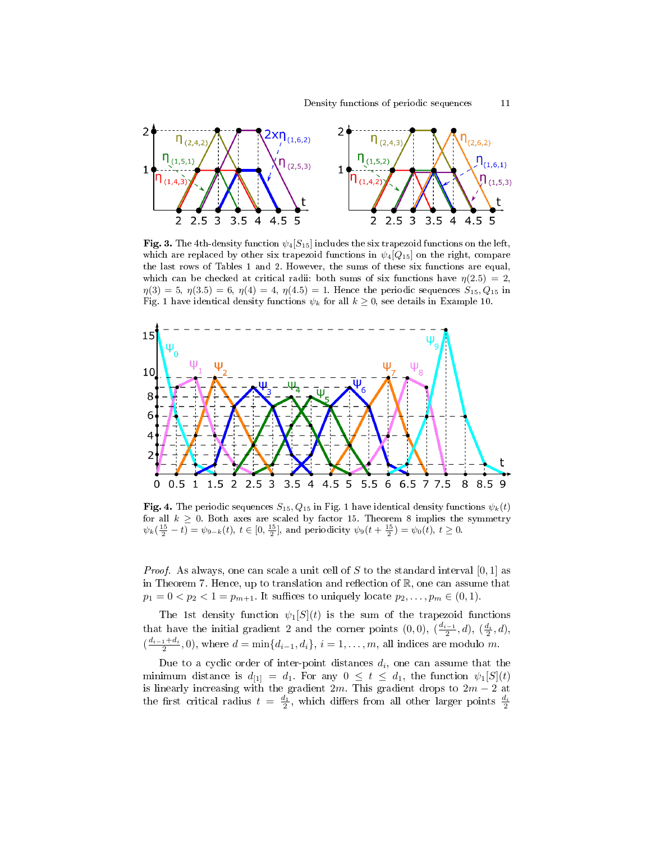

Fig. 3. The 4th-density function  $\psi_4[S_{15}]$  includes the six trapezoid functions on the left. which are replaced by other six trapezoid functions in  $\psi_4[Q_{15}]$  on the right, compare the last rows of Tables 1 and 2. However, the sums of these six functions are equal, which can be checked at critical radii: both sums of six functions have  $\eta(2.5) = 2$ ,  $\eta(3) = 5, \eta(3.5) = 6, \eta(4) = 4, \eta(4.5) = 1.$  Hence the periodic sequences  $S_{15}, Q_{15}$  in Fig. 1 have identical density functions  $\psi_k$  for all  $k \geq 0$ , see details in Example 10.



Fig. 4. The periodic sequences  $S_{15}$ ,  $Q_{15}$  in Fig. 1 have identical density functions  $\psi_k(t)$ for all  $k \geq 0$ . Both axes are scaled by factor 15. Theorem 8 implies the symmetry  $\psi_k(\frac{15}{2}-t) = \psi_{9-k}(t), t \in [0, \frac{15}{2}],$  and periodicity  $\psi_9(t + \frac{15}{2}) = \psi_0(t), t \ge 0.$ 

*Proof.* As always, one can scale a unit cell of S to the standard interval  $[0, 1]$  as in Theorem 7. Hence, up to translation and reflection of  $\mathbb{R}$ , one can assume that  $p_1 = 0 < p_2 < 1 = p_{m+1}$ . It suffices to uniquely locate  $p_2, \ldots, p_m \in (0, 1)$ .

The 1st density function  $\psi_1[S](t)$  is the sum of the trapezoid functions that have the initial gradient 2 and the corner points  $(0,0)$ ,  $(\frac{d_{i-1}}{2},d)$ ,  $(\frac{d_i}{2},d)$ ,  $\left(\frac{d_{i-1}+d_i}{2},0\right)$ , where  $d=\min\{d_{i-1},d_i\}$ ,  $i=1,\ldots,m$ , all indices are modulo m.

Due to a cyclic order of inter-point distances  $d_i$ , one can assume that the minimum distance is  $d_{[1]} = d_1$ . For any  $0 \le t \le d_1$ , the function  $\psi_1[S](t)$ is linearly increasing with the gradient  $2m$ . This gradient drops to  $2m-2$  at the first critical radius  $t = \frac{d_1}{2}$ , which differs from all other larger points  $\frac{d_i}{2}$